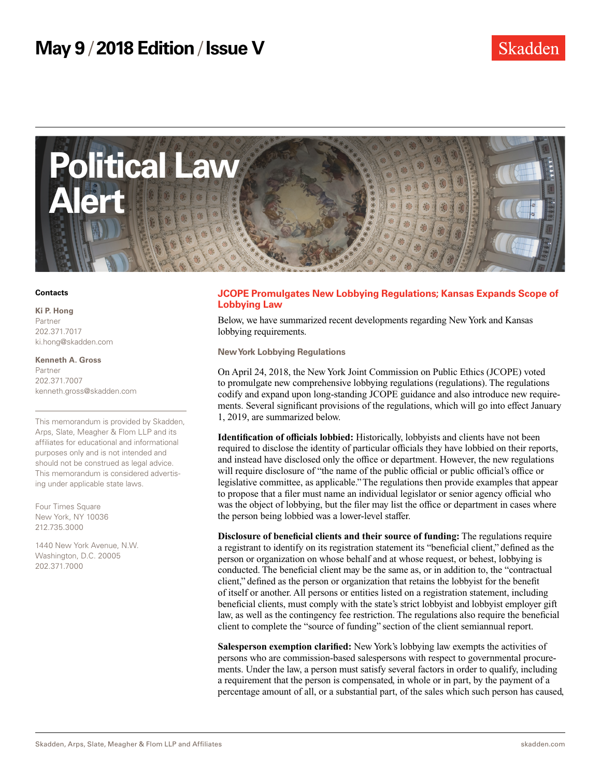

#### **Contacts**

#### **Ki P. Hong** Partner

202.371.7017 ki.hong@skadden.com

#### **Kenneth A. Gross** Partner 202.371.7007 kenneth.gross@skadden.com

This memorandum is provided by Skadden, Arps, Slate, Meagher & Flom LLP and its affiliates for educational and informational purposes only and is not intended and should not be construed as legal advice. This memorandum is considered advertising under applicable state laws.

Four Times Square New York, NY 10036 212.735.3000

1440 New York Avenue, N.W. Washington, D.C. 20005 202.371.7000

# **JCOPE Promulgates New Lobbying Regulations; Kansas Expands Scope of Lobbying Law**

Below, we have summarized recent developments regarding New York and Kansas lobbying requirements.

**New York Lobbying Regulations**

On April 24, 2018, the New York Joint Commission on Public Ethics (JCOPE) voted to promulgate new comprehensive lobbying regulations (regulations). The regulations codify and expand upon long-standing JCOPE guidance and also introduce new requirements. Several significant provisions of the regulations, which will go into effect January 1, 2019, are summarized below.

**Identification of officials lobbied:** Historically, lobbyists and clients have not been required to disclose the identity of particular officials they have lobbied on their reports, and instead have disclosed only the office or department. However, the new regulations will require disclosure of "the name of the public official or public official's office or legislative committee, as applicable." The regulations then provide examples that appear to propose that a filer must name an individual legislator or senior agency official who was the object of lobbying, but the filer may list the office or department in cases where the person being lobbied was a lower-level staffer.

**Disclosure of beneficial clients and their source of funding:** The regulations require a registrant to identify on its registration statement its "beneficial client," defined as the person or organization on whose behalf and at whose request, or behest, lobbying is conducted. The beneficial client may be the same as, or in addition to, the "contractual client," defined as the person or organization that retains the lobbyist for the benefit of itself or another. All persons or entities listed on a registration statement, including beneficial clients, must comply with the state's strict lobbyist and lobbyist employer gift law, as well as the contingency fee restriction. The regulations also require the beneficial client to complete the "source of funding" section of the client semiannual report.

**Salesperson exemption clarified:** New York's lobbying law exempts the activities of persons who are commission-based salespersons with respect to governmental procurements. Under the law, a person must satisfy several factors in order to qualify, including a requirement that the person is compensated, in whole or in part, by the payment of a percentage amount of all, or a substantial part, of the sales which such person has caused,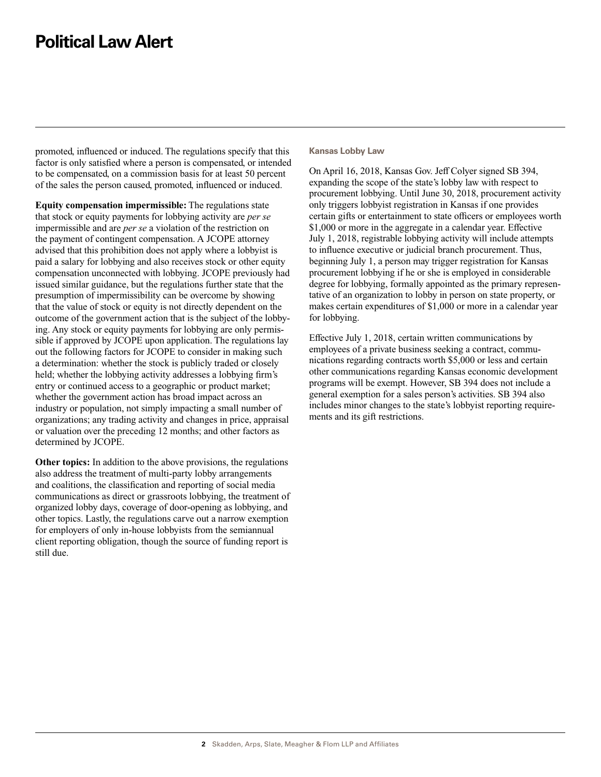# **Political Law Alert**

promoted, influenced or induced. The regulations specify that this factor is only satisfied where a person is compensated, or intended to be compensated, on a commission basis for at least 50 percent of the sales the person caused, promoted, influenced or induced.

**Equity compensation impermissible:** The regulations state that stock or equity payments for lobbying activity are *per se*  impermissible and are *per se* a violation of the restriction on the payment of contingent compensation. A JCOPE attorney advised that this prohibition does not apply where a lobbyist is paid a salary for lobbying and also receives stock or other equity compensation unconnected with lobbying. JCOPE previously had issued similar guidance, but the regulations further state that the presumption of impermissibility can be overcome by showing that the value of stock or equity is not directly dependent on the outcome of the government action that is the subject of the lobbying. Any stock or equity payments for lobbying are only permissible if approved by JCOPE upon application. The regulations lay out the following factors for JCOPE to consider in making such a determination: whether the stock is publicly traded or closely held; whether the lobbying activity addresses a lobbying firm's entry or continued access to a geographic or product market; whether the government action has broad impact across an industry or population, not simply impacting a small number of organizations; any trading activity and changes in price, appraisal or valuation over the preceding 12 months; and other factors as determined by JCOPE.

**Other topics:** In addition to the above provisions, the regulations also address the treatment of multi-party lobby arrangements and coalitions, the classification and reporting of social media communications as direct or grassroots lobbying, the treatment of organized lobby days, coverage of door-opening as lobbying, and other topics. Lastly, the regulations carve out a narrow exemption for employers of only in-house lobbyists from the semiannual client reporting obligation, though the source of funding report is still due.

### **Kansas Lobby Law**

On April 16, 2018, Kansas Gov. Jeff Colyer signed SB 394, expanding the scope of the state's lobby law with respect to procurement lobbying. Until June 30, 2018, procurement activity only triggers lobbyist registration in Kansas if one provides certain gifts or entertainment to state officers or employees worth \$1,000 or more in the aggregate in a calendar year. Effective July 1, 2018, registrable lobbying activity will include attempts to influence executive or judicial branch procurement. Thus, beginning July 1, a person may trigger registration for Kansas procurement lobbying if he or she is employed in considerable degree for lobbying, formally appointed as the primary representative of an organization to lobby in person on state property, or makes certain expenditures of \$1,000 or more in a calendar year for lobbying.

Effective July 1, 2018, certain written communications by employees of a private business seeking a contract, communications regarding contracts worth \$5,000 or less and certain other communications regarding Kansas economic development programs will be exempt. However, SB 394 does not include a general exemption for a sales person's activities. SB 394 also includes minor changes to the state's lobbyist reporting requirements and its gift restrictions.